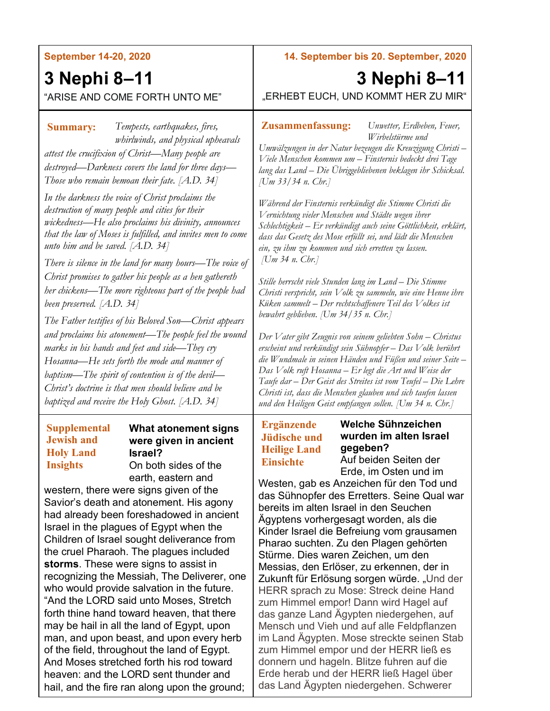#### **September 14-20, 2020**

# **3 Nephi 8–11**

## "ARISE AND COME FORTH UNTO ME"

## *Tempests, earthquakes, fires,*  **Summary: Zusammenfassung:** *whirlwinds, and physical upheavals attest the crucifixion of Christ—Many people are destroyed—Darkness covers the land for three days— Those who remain bemoan their fate. [A.D. 34]*

*In the darkness the voice of Christ proclaims the destruction of many people and cities for their wickedness—He also proclaims his divinity, announces that the law of Moses is fulfilled, and invites men to come unto him and be saved. [A.D. 34]*

*There is silence in the land for many hours—The voice of Christ promises to gather his people as a hen gathereth her chickens—The more righteous part of the people had been preserved. [A.D. 34]*

*The Father testifies of his Beloved Son—Christ appears and proclaims his atonement—The people feel the wound marks in his hands and feet and side—They cry Hosanna—He sets forth the mode and manner of baptism—The spirit of contention is of the devil— Christ's doctrine is that men should believe and be baptized and receive the Holy Ghost. [A.D. 34]*

### **Supplemental Jewish and Holy Land Insights**

## **What atonement signs were given in ancient Israel?**

On both sides of the earth, eastern and

western, there were signs given of the Savior's death and atonement. His agony had already been foreshadowed in ancient Israel in the plagues of Egypt when the Children of Israel sought deliverance from the cruel Pharaoh. The plagues included **storms**. These were signs to assist in recognizing the Messiah, The Deliverer, one who would provide salvation in the future. "And the LORD said unto Moses, Stretch forth thine hand toward heaven, that there may be hail in all the land of Egypt, upon man, and upon beast, and upon every herb of the field, throughout the land of Egypt. And Moses stretched forth his rod toward heaven: and the LORD sent thunder and hail, and the fire ran along upon the ground;

**14. September bis 20. September, 2020**

# **3 Nephi 8–11**

"ERHEBT EUCH, UND KOMMT HER ZU MIR"

*Unwetter, Erdbeben, Feuer, Wirbelstürme und* 

*Umwälzungen in der Natur bezeugen die Kreuzigung Christi – Viele Menschen kommen um – Finsternis bedeckt drei Tage lang das Land – Die Übriggebliebenen beklagen ihr Schicksal. [Um 33/34 n. Chr.]*

*Während der Finsternis verkündigt die Stimme Christi die Vernichtung vieler Menschen und Städte wegen ihrer Schlechtigkeit – Er verkündigt auch seine Göttlichkeit, erklärt, dass das Gesetz des Mose erfüllt sei, und lädt die Menschen ein, zu ihm zu kommen und sich erretten zu lassen. [Um 34 n. Chr.]*

*Stille herrscht viele Stunden lang im Land – Die Stimme Christi verspricht, sein Volk zu sammeln, wie eine Henne ihre Küken sammelt – Der rechtschaffenere Teil des Volkes ist bewahrt geblieben. [Um 34/35 n. Chr.]*

*Der Vater gibt Zeugnis von seinem geliebten Sohn – Christus erscheint und verkündigt sein Sühnopfer – Das Volk berührt die Wundmale in seinen Händen und Füßen und seiner Seite – Das Volk ruft Hosanna – Er legt die Art und Weise der Taufe dar – Der Geist des Streites ist vom Teufel – Die Lehre Christi ist, dass die Menschen glauben und sich taufen lassen und den Heiligen Geist empfangen sollen. [Um 34 n. Chr.]*

## **Ergänzende Jüdische und Heilige Land Einsichte**

## **Welche Sühnzeichen wurden im alten Israel gegeben?**

Auf beiden Seiten der Erde, im Osten und im

Westen, gab es Anzeichen für den Tod und das Sühnopfer des Erretters. Seine Qual war bereits im alten Israel in den Seuchen Ägyptens vorhergesagt worden, als die Kinder Israel die Befreiung vom grausamen Pharao suchten. Zu den Plagen gehörten Stürme. Dies waren Zeichen, um den Messias, den Erlöser, zu erkennen, der in Zukunft für Erlösung sorgen würde. "Und der HERR sprach zu Mose: Streck deine Hand zum Himmel empor! Dann wird Hagel auf das ganze Land Ägypten niedergehen, auf Mensch und Vieh und auf alle Feldpflanzen im Land Ägypten. Mose streckte seinen Stab zum Himmel empor und der HERR ließ es donnern und hageln. Blitze fuhren auf die Erde herab und der HERR ließ Hagel über das Land Ägypten niedergehen. Schwerer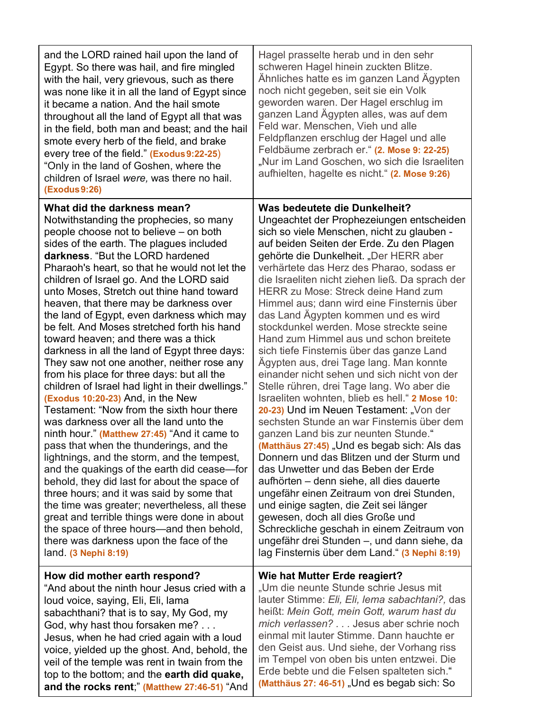| and the LORD rained hail upon the land of<br>Egypt. So there was hail, and fire mingled<br>with the hail, very grievous, such as there<br>was none like it in all the land of Egypt since<br>it became a nation. And the hail smote<br>throughout all the land of Egypt all that was<br>in the field, both man and beast; and the hail<br>smote every herb of the field, and brake<br>every tree of the field." (Exodus 9:22-25)<br>"Only in the land of Goshen, where the<br>children of Israel were, was there no hail.<br><b>(Exodus 9:26)</b> | Hagel prasselte herab und in den sehr<br>schweren Hagel hinein zuckten Blitze.<br>Ähnliches hatte es im ganzen Land Ägypten<br>noch nicht gegeben, seit sie ein Volk<br>geworden waren. Der Hagel erschlug im<br>ganzen Land Ägypten alles, was auf dem<br>Feld war. Menschen, Vieh und alle<br>Feldpflanzen erschlug der Hagel und alle<br>Feldbäume zerbrach er." (2. Mose 9: 22-25)<br>"Nur im Land Goschen, wo sich die Israeliten<br>aufhielten, hagelte es nicht." (2. Mose 9:26) |
|---------------------------------------------------------------------------------------------------------------------------------------------------------------------------------------------------------------------------------------------------------------------------------------------------------------------------------------------------------------------------------------------------------------------------------------------------------------------------------------------------------------------------------------------------|-----------------------------------------------------------------------------------------------------------------------------------------------------------------------------------------------------------------------------------------------------------------------------------------------------------------------------------------------------------------------------------------------------------------------------------------------------------------------------------------|
| What did the darkness mean?                                                                                                                                                                                                                                                                                                                                                                                                                                                                                                                       | Was bedeutete die Dunkelheit?                                                                                                                                                                                                                                                                                                                                                                                                                                                           |
| Notwithstanding the prophecies, so many                                                                                                                                                                                                                                                                                                                                                                                                                                                                                                           | Ungeachtet der Prophezeiungen entscheiden                                                                                                                                                                                                                                                                                                                                                                                                                                               |
| people choose not to believe – on both                                                                                                                                                                                                                                                                                                                                                                                                                                                                                                            | sich so viele Menschen, nicht zu glauben -                                                                                                                                                                                                                                                                                                                                                                                                                                              |
| sides of the earth. The plagues included                                                                                                                                                                                                                                                                                                                                                                                                                                                                                                          | auf beiden Seiten der Erde. Zu den Plagen                                                                                                                                                                                                                                                                                                                                                                                                                                               |
| darkness. "But the LORD hardened                                                                                                                                                                                                                                                                                                                                                                                                                                                                                                                  | gehörte die Dunkelheit. "Der HERR aber                                                                                                                                                                                                                                                                                                                                                                                                                                                  |
| Pharaoh's heart, so that he would not let the                                                                                                                                                                                                                                                                                                                                                                                                                                                                                                     | verhärtete das Herz des Pharao, sodass er                                                                                                                                                                                                                                                                                                                                                                                                                                               |
| children of Israel go. And the LORD said                                                                                                                                                                                                                                                                                                                                                                                                                                                                                                          | die Israeliten nicht ziehen ließ. Da sprach der                                                                                                                                                                                                                                                                                                                                                                                                                                         |
| unto Moses, Stretch out thine hand toward                                                                                                                                                                                                                                                                                                                                                                                                                                                                                                         | <b>HERR zu Mose: Streck deine Hand zum</b>                                                                                                                                                                                                                                                                                                                                                                                                                                              |
| heaven, that there may be darkness over                                                                                                                                                                                                                                                                                                                                                                                                                                                                                                           | Himmel aus; dann wird eine Finsternis über                                                                                                                                                                                                                                                                                                                                                                                                                                              |
| the land of Egypt, even darkness which may                                                                                                                                                                                                                                                                                                                                                                                                                                                                                                        | das Land Ägypten kommen und es wird                                                                                                                                                                                                                                                                                                                                                                                                                                                     |
| be felt. And Moses stretched forth his hand                                                                                                                                                                                                                                                                                                                                                                                                                                                                                                       | stockdunkel werden. Mose streckte seine                                                                                                                                                                                                                                                                                                                                                                                                                                                 |
| toward heaven; and there was a thick                                                                                                                                                                                                                                                                                                                                                                                                                                                                                                              | Hand zum Himmel aus und schon breitete                                                                                                                                                                                                                                                                                                                                                                                                                                                  |
| darkness in all the land of Egypt three days:                                                                                                                                                                                                                                                                                                                                                                                                                                                                                                     | sich tiefe Finsternis über das ganze Land                                                                                                                                                                                                                                                                                                                                                                                                                                               |
| They saw not one another, neither rose any                                                                                                                                                                                                                                                                                                                                                                                                                                                                                                        | Ägypten aus, drei Tage lang. Man konnte                                                                                                                                                                                                                                                                                                                                                                                                                                                 |
| from his place for three days: but all the                                                                                                                                                                                                                                                                                                                                                                                                                                                                                                        | einander nicht sehen und sich nicht von der                                                                                                                                                                                                                                                                                                                                                                                                                                             |
| children of Israel had light in their dwellings."                                                                                                                                                                                                                                                                                                                                                                                                                                                                                                 | Stelle rühren, drei Tage lang. Wo aber die                                                                                                                                                                                                                                                                                                                                                                                                                                              |
| (Exodus 10:20-23) And, in the New                                                                                                                                                                                                                                                                                                                                                                                                                                                                                                                 | Israeliten wohnten, blieb es hell." 2 Mose 10:                                                                                                                                                                                                                                                                                                                                                                                                                                          |
| Testament: "Now from the sixth hour there                                                                                                                                                                                                                                                                                                                                                                                                                                                                                                         | 20-23) Und im Neuen Testament: "Von der                                                                                                                                                                                                                                                                                                                                                                                                                                                 |
| was darkness over all the land unto the                                                                                                                                                                                                                                                                                                                                                                                                                                                                                                           | sechsten Stunde an war Finsternis über dem                                                                                                                                                                                                                                                                                                                                                                                                                                              |
| ninth hour." (Matthew 27:45) "And it came to                                                                                                                                                                                                                                                                                                                                                                                                                                                                                                      | ganzen Land bis zur neunten Stunde."                                                                                                                                                                                                                                                                                                                                                                                                                                                    |
| pass that when the thunderings, and the                                                                                                                                                                                                                                                                                                                                                                                                                                                                                                           | (Matthäus 27:45) "Und es begab sich: Als das                                                                                                                                                                                                                                                                                                                                                                                                                                            |
| lightnings, and the storm, and the tempest,                                                                                                                                                                                                                                                                                                                                                                                                                                                                                                       | Donnern und das Blitzen und der Sturm und                                                                                                                                                                                                                                                                                                                                                                                                                                               |
| and the quakings of the earth did cease—for                                                                                                                                                                                                                                                                                                                                                                                                                                                                                                       | das Unwetter und das Beben der Erde                                                                                                                                                                                                                                                                                                                                                                                                                                                     |
| behold, they did last for about the space of                                                                                                                                                                                                                                                                                                                                                                                                                                                                                                      | aufhörten – denn siehe, all dies dauerte                                                                                                                                                                                                                                                                                                                                                                                                                                                |
| three hours; and it was said by some that                                                                                                                                                                                                                                                                                                                                                                                                                                                                                                         | ungefähr einen Zeitraum von drei Stunden,                                                                                                                                                                                                                                                                                                                                                                                                                                               |
| the time was greater; nevertheless, all these                                                                                                                                                                                                                                                                                                                                                                                                                                                                                                     | und einige sagten, die Zeit sei länger                                                                                                                                                                                                                                                                                                                                                                                                                                                  |
| great and terrible things were done in about                                                                                                                                                                                                                                                                                                                                                                                                                                                                                                      | gewesen, doch all dies Große und                                                                                                                                                                                                                                                                                                                                                                                                                                                        |
| the space of three hours—and then behold,                                                                                                                                                                                                                                                                                                                                                                                                                                                                                                         | Schreckliche geschah in einem Zeitraum von                                                                                                                                                                                                                                                                                                                                                                                                                                              |
| there was darkness upon the face of the                                                                                                                                                                                                                                                                                                                                                                                                                                                                                                           | ungefähr drei Stunden -, und dann siehe, da                                                                                                                                                                                                                                                                                                                                                                                                                                             |
| land. (3 Nephi 8:19)                                                                                                                                                                                                                                                                                                                                                                                                                                                                                                                              | lag Finsternis über dem Land." (3 Nephi 8:19)                                                                                                                                                                                                                                                                                                                                                                                                                                           |
| How did mother earth respond?                                                                                                                                                                                                                                                                                                                                                                                                                                                                                                                     | Wie hat Mutter Erde reagiert?                                                                                                                                                                                                                                                                                                                                                                                                                                                           |
| "And about the ninth hour Jesus cried with a                                                                                                                                                                                                                                                                                                                                                                                                                                                                                                      | "Um die neunte Stunde schrie Jesus mit                                                                                                                                                                                                                                                                                                                                                                                                                                                  |
| loud voice, saying, Eli, Eli, lama                                                                                                                                                                                                                                                                                                                                                                                                                                                                                                                | lauter Stimme: Eli, Eli, lema sabachtani?, das                                                                                                                                                                                                                                                                                                                                                                                                                                          |
| sabachthani? that is to say, My God, my                                                                                                                                                                                                                                                                                                                                                                                                                                                                                                           | heißt: Mein Gott, mein Gott, warum hast du                                                                                                                                                                                                                                                                                                                                                                                                                                              |
| God, why hast thou forsaken me?                                                                                                                                                                                                                                                                                                                                                                                                                                                                                                                   | mich verlassen? Jesus aber schrie noch                                                                                                                                                                                                                                                                                                                                                                                                                                                  |
| Jesus, when he had cried again with a loud                                                                                                                                                                                                                                                                                                                                                                                                                                                                                                        | einmal mit lauter Stimme. Dann hauchte er                                                                                                                                                                                                                                                                                                                                                                                                                                               |
| voice, yielded up the ghost. And, behold, the                                                                                                                                                                                                                                                                                                                                                                                                                                                                                                     | den Geist aus. Und siehe, der Vorhang riss                                                                                                                                                                                                                                                                                                                                                                                                                                              |
| veil of the temple was rent in twain from the                                                                                                                                                                                                                                                                                                                                                                                                                                                                                                     | im Tempel von oben bis unten entzwei. Die                                                                                                                                                                                                                                                                                                                                                                                                                                               |
| top to the bottom; and the earth did quake,                                                                                                                                                                                                                                                                                                                                                                                                                                                                                                       | Erde bebte und die Felsen spalteten sich."                                                                                                                                                                                                                                                                                                                                                                                                                                              |
| and the rocks rent," (Matthew 27:46-51) "And                                                                                                                                                                                                                                                                                                                                                                                                                                                                                                      | (Matthäus 27: 46-51) "Und es begab sich: So                                                                                                                                                                                                                                                                                                                                                                                                                                             |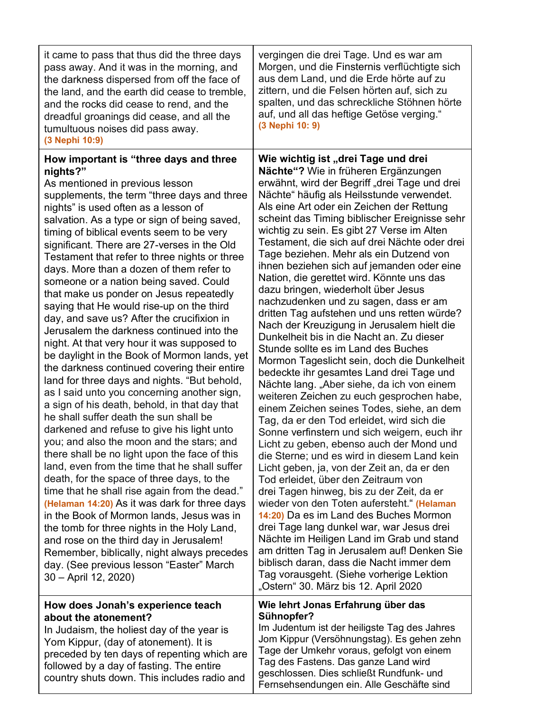| it came to pass that thus did the three days<br>pass away. And it was in the morning, and<br>the darkness dispersed from off the face of<br>the land, and the earth did cease to tremble,<br>and the rocks did cease to rend, and the<br>dreadful groanings did cease, and all the<br>tumultuous noises did pass away.<br>(3 Nephi 10:9)                                                                                                                                                                                                                                                                                                                                                                                                                                                                                                                                                                                                                                                                                                                                                                                                                                                                                                                                                                                                                                                                                                                                                                                                                                                           | vergingen die drei Tage. Und es war am<br>Morgen, und die Finsternis verflüchtigte sich<br>aus dem Land, und die Erde hörte auf zu<br>zittern, und die Felsen hörten auf, sich zu<br>spalten, und das schreckliche Stöhnen hörte<br>auf, und all das heftige Getöse verging."<br>(3 Nephi 10: 9)                                                                                                                                                                                                                                                                                                                                                                                                                                                                                                                                                                                                                                                                                                                                                                                                                                                                                                                                                                                                                                                                                                                                                                                                                                                                                                                                                                                                              |
|----------------------------------------------------------------------------------------------------------------------------------------------------------------------------------------------------------------------------------------------------------------------------------------------------------------------------------------------------------------------------------------------------------------------------------------------------------------------------------------------------------------------------------------------------------------------------------------------------------------------------------------------------------------------------------------------------------------------------------------------------------------------------------------------------------------------------------------------------------------------------------------------------------------------------------------------------------------------------------------------------------------------------------------------------------------------------------------------------------------------------------------------------------------------------------------------------------------------------------------------------------------------------------------------------------------------------------------------------------------------------------------------------------------------------------------------------------------------------------------------------------------------------------------------------------------------------------------------------|---------------------------------------------------------------------------------------------------------------------------------------------------------------------------------------------------------------------------------------------------------------------------------------------------------------------------------------------------------------------------------------------------------------------------------------------------------------------------------------------------------------------------------------------------------------------------------------------------------------------------------------------------------------------------------------------------------------------------------------------------------------------------------------------------------------------------------------------------------------------------------------------------------------------------------------------------------------------------------------------------------------------------------------------------------------------------------------------------------------------------------------------------------------------------------------------------------------------------------------------------------------------------------------------------------------------------------------------------------------------------------------------------------------------------------------------------------------------------------------------------------------------------------------------------------------------------------------------------------------------------------------------------------------------------------------------------------------|
| How important is "three days and three<br>nights?"<br>As mentioned in previous lesson<br>supplements, the term "three days and three<br>nights" is used often as a lesson of<br>salvation. As a type or sign of being saved,<br>timing of biblical events seem to be very<br>significant. There are 27-verses in the Old<br>Testament that refer to three nights or three<br>days. More than a dozen of them refer to<br>someone or a nation being saved. Could<br>that make us ponder on Jesus repeatedly<br>saying that He would rise-up on the third<br>day, and save us? After the crucifixion in<br>Jerusalem the darkness continued into the<br>night. At that very hour it was supposed to<br>be daylight in the Book of Mormon lands, yet<br>the darkness continued covering their entire<br>land for three days and nights. "But behold,<br>as I said unto you concerning another sign,<br>a sign of his death, behold, in that day that<br>he shall suffer death the sun shall be<br>darkened and refuse to give his light unto<br>you; and also the moon and the stars; and<br>there shall be no light upon the face of this<br>land, even from the time that he shall suffer<br>death, for the space of three days, to the<br>time that he shall rise again from the dead."<br>(Helaman 14:20) As it was dark for three days<br>in the Book of Mormon lands, Jesus was in<br>the tomb for three nights in the Holy Land,<br>and rose on the third day in Jerusalem!<br>Remember, biblically, night always precedes<br>day. (See previous lesson "Easter" March<br>30 - April 12, 2020) | Wie wichtig ist "drei Tage und drei<br>Nächte"? Wie in früheren Ergänzungen<br>erwähnt, wird der Begriff "drei Tage und drei<br>Nächte" häufig als Heilsstunde verwendet.<br>Als eine Art oder ein Zeichen der Rettung<br>scheint das Timing biblischer Ereignisse sehr<br>wichtig zu sein. Es gibt 27 Verse im Alten<br>Testament, die sich auf drei Nächte oder drei<br>Tage beziehen. Mehr als ein Dutzend von<br>ihnen beziehen sich auf jemanden oder eine<br>Nation, die gerettet wird. Könnte uns das<br>dazu bringen, wiederholt über Jesus<br>nachzudenken und zu sagen, dass er am<br>dritten Tag aufstehen und uns retten würde?<br>Nach der Kreuzigung in Jerusalem hielt die<br>Dunkelheit bis in die Nacht an. Zu dieser<br>Stunde sollte es im Land des Buches<br>Mormon Tageslicht sein, doch die Dunkelheit<br>bedeckte ihr gesamtes Land drei Tage und<br>Nächte lang. "Aber siehe, da ich von einem<br>weiteren Zeichen zu euch gesprochen habe,<br>einem Zeichen seines Todes, siehe, an dem<br>Tag, da er den Tod erleidet, wird sich die<br>Sonne verfinstern und sich weigern, euch ihr<br>Licht zu geben, ebenso auch der Mond und<br>die Sterne; und es wird in diesem Land kein<br>Licht geben, ja, von der Zeit an, da er den<br>Tod erleidet, über den Zeitraum von<br>drei Tagen hinweg, bis zu der Zeit, da er<br>wieder von den Toten aufersteht." (Helaman<br>14:20) Da es im Land des Buches Mormon<br>drei Tage lang dunkel war, war Jesus drei<br>Nächte im Heiligen Land im Grab und stand<br>am dritten Tag in Jerusalem auf! Denken Sie<br>biblisch daran, dass die Nacht immer dem<br>Tag vorausgeht. (Siehe vorherige Lektion<br>"Ostern" 30. März bis 12. April 2020 |
| How does Jonah's experience teach<br>about the atonement?<br>In Judaism, the holiest day of the year is<br>Yom Kippur, (day of atonement). It is<br>preceded by ten days of repenting which are<br>followed by a day of fasting. The entire<br>country shuts down. This includes radio and                                                                                                                                                                                                                                                                                                                                                                                                                                                                                                                                                                                                                                                                                                                                                                                                                                                                                                                                                                                                                                                                                                                                                                                                                                                                                                         | Wie lehrt Jonas Erfahrung über das<br>Sühnopfer?<br>Im Judentum ist der heiligste Tag des Jahres<br>Jom Kippur (Versöhnungstag). Es gehen zehn<br>Tage der Umkehr voraus, gefolgt von einem<br>Tag des Fastens. Das ganze Land wird<br>geschlossen. Dies schließt Rundfunk- und<br>Fernsehsendungen ein. Alle Geschäfte sind                                                                                                                                                                                                                                                                                                                                                                                                                                                                                                                                                                                                                                                                                                                                                                                                                                                                                                                                                                                                                                                                                                                                                                                                                                                                                                                                                                                  |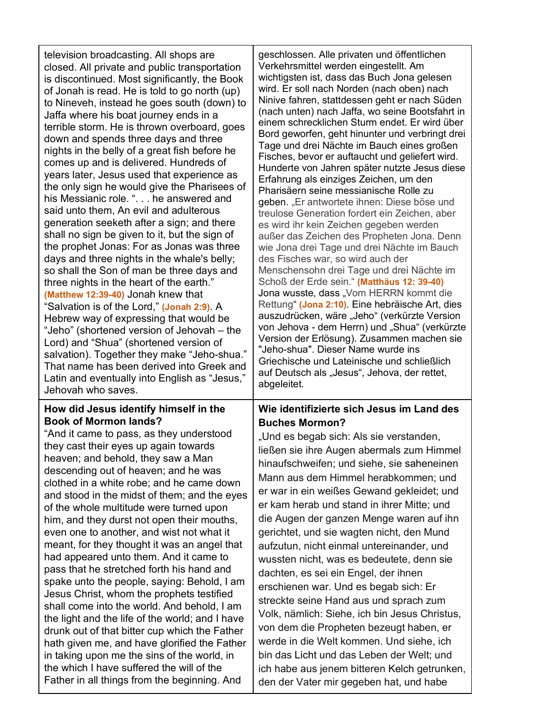| television broadcasting. All shops are<br>closed. All private and public transportation<br>is discontinued. Most significantly, the Book<br>of Jonah is read. He is told to go north (up)<br>to Nineveh, instead he goes south (down) to<br>Jaffa where his boat journey ends in a<br>terrible storm. He is thrown overboard, goes<br>down and spends three days and three<br>nights in the belly of a great fish before he<br>comes up and is delivered. Hundreds of<br>years later, Jesus used that experience as<br>the only sign he would give the Pharisees of<br>his Messianic role. ". he answered and<br>said unto them, An evil and adulterous<br>generation seeketh after a sign; and there<br>shall no sign be given to it, but the sign of<br>the prophet Jonas: For as Jonas was three<br>days and three nights in the whale's belly;<br>so shall the Son of man be three days and<br>three nights in the heart of the earth."<br>(Matthew 12:39-40) Jonah knew that<br>"Salvation is of the Lord," (Jonah 2:9). A<br>Hebrew way of expressing that would be<br>"Jeho" (shortened version of Jehovah - the<br>Lord) and "Shua" (shortened version of<br>salvation). Together they make "Jeho-shua."<br>That name has been derived into Greek and<br>Latin and eventually into English as "Jesus,"<br>Jehovah who saves. |  |
|--------------------------------------------------------------------------------------------------------------------------------------------------------------------------------------------------------------------------------------------------------------------------------------------------------------------------------------------------------------------------------------------------------------------------------------------------------------------------------------------------------------------------------------------------------------------------------------------------------------------------------------------------------------------------------------------------------------------------------------------------------------------------------------------------------------------------------------------------------------------------------------------------------------------------------------------------------------------------------------------------------------------------------------------------------------------------------------------------------------------------------------------------------------------------------------------------------------------------------------------------------------------------------------------------------------------------------------|--|
| How did Jesus identify himself in the<br><b>Book of Mormon lands?</b>                                                                                                                                                                                                                                                                                                                                                                                                                                                                                                                                                                                                                                                                                                                                                                                                                                                                                                                                                                                                                                                                                                                                                                                                                                                                |  |

"And it came to pass, as they understood they cast their eyes up again towards heaven; and behold, they saw a Man descending out of heaven; and he was clothed in a white robe; and he came down and stood in the midst of them; and the eyes of the whole multitude were turned upon him, and they durst not open their mouths, even one to another, and wist not what it meant, for they thought it was an angel that had appeared unto them. And it came to pass that he stretched forth his hand and spake unto the people, saying: Behold, I am Jesus Christ, whom the prophets testified shall come into the world. And behold, I am the light and the life of the world; and I have drunk out of that bitter cup which the Father hath given me, and have glorified the Father in taking upon me the sins of the world, in the which I have suffered the will of the Father in all things from the beginning. And

geschlossen. Alle privaten und öffentlichen Verkehrsmittel werden eingestellt. Am wichtigsten ist, dass das Buch Jona gelesen wird. Er soll nach Norden (nach oben) nach Ninive fahren, stattdessen geht er nach Süden (nach unten) nach Jaffa, wo seine Bootsfahrt in einem schrecklichen Sturm endet. Er wird über Bord geworfen, geht hinunter und verbringt drei Tage und drei Nächte im Bauch eines großen Fisches, bevor er auftaucht und geliefert wird. Hunderte von Jahren später nutzte Jesus diese Erfahrung als einziges Zeichen, um den Pharisäern seine messianische Rolle zu geben. "Er antwortete ihnen: Diese böse und treulose Generation fordert ein Zeichen, aber es wird ihr kein Zeichen gegeben werden außer das Zeichen des Propheten Jona. Denn wie Jona drei Tage und drei Nächte im Bauch des Fisches war, so wird auch der Menschensohn drei Tage und drei Nächte im Schoß der Erde sein." **(Matthäus 12: 39-40)** Jona wusste, dass "Vom HERRN kommt die Rettung" **(Jona 2:10)**. Eine hebräische Art, dies auszudrücken, wäre "Jeho" (verkürzte Version von Jehova - dem Herrn) und "Shua" (verkürzte Version der Erlösung). Zusammen machen sie "Jeho-shua". Dieser Name wurde ins Griechische und Lateinische und schließlich auf Deutsch als "Jesus", Jehova, der rettet, abgeleitet.

## **Wie identifizierte sich Jesus im Land des Buches Mormon?**

"Und es begab sich: Als sie verstanden, ließen sie ihre Augen abermals zum Himmel hinaufschweifen; und siehe, sie saheneinen Mann aus dem Himmel herabkommen; und er war in ein weißes Gewand gekleidet; und er kam herab und stand in ihrer Mitte; und die Augen der ganzen Menge waren auf ihn gerichtet, und sie wagten nicht, den Mund aufzutun, nicht einmal untereinander, und wussten nicht, was es bedeutete, denn sie dachten, es sei ein Engel, der ihnen erschienen war. Und es begab sich: Er streckte seine Hand aus und sprach zum Volk, nämlich: Siehe, ich bin Jesus Christus, von dem die Propheten bezeugt haben, er werde in die Welt kommen. Und siehe, ich bin das Licht und das Leben der Welt; und ich habe aus jenem bitteren Kelch getrunken, den der Vater mir gegeben hat, und habe